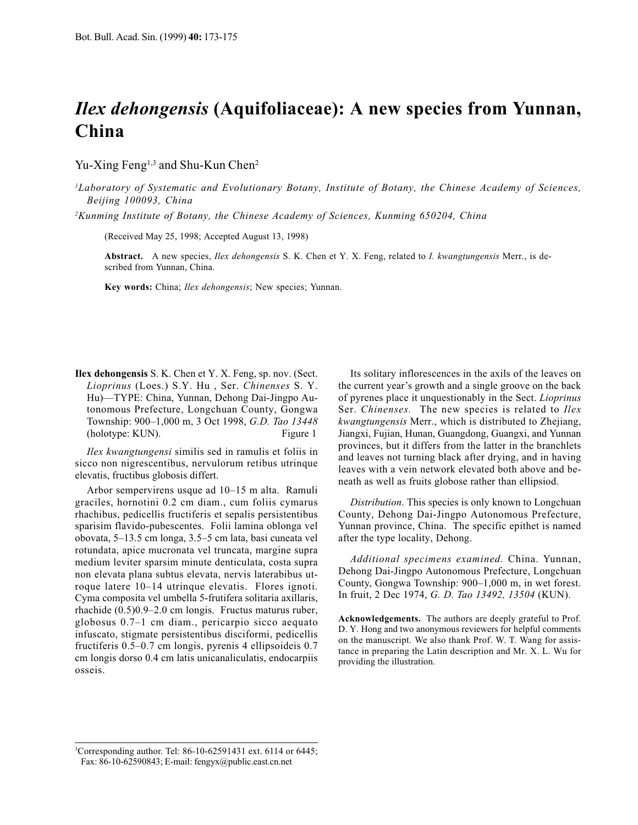## *Hex dehongensis* (Aquifoliaceae): A new species from Yunnan, China

Yu-Xing Feng<sup>1,3</sup> and Shu-Kun Chen<sup>2</sup>

<sup>1</sup>Laboratory of Systematic and Evolutionary Botany, Institute of Botany, the Chinese Academy of Sciences, Beijing 100093, China

<sup>2</sup>Kunming Institute of Botany, the Chinese Academy of Sciences, Kunming 650204, China

(Received May 25, 1998; Accepted August 13, 1998)

Abstract. A new species, Ilex dehongensis S. K. Chen et Y. X. Feng, related to I. kwangtungensis Merr., is described from Yunnan, China.

Key words: China; Ilex dehongensis; New species; Yunnan.

**Ilex dehongensis** S. K. Chen et Y. X. Feng, sp. nov. (Sect. Lioprinus (Loes.) S.Y. Hu, Ser. Chinenses S.Y. Hu)—TYPE: China, Yunnan, Dehong Dai-Jingpo Autonomous Prefecture, Longchuan County, Gongwa Township: 900-1,000 m, 3 Oct 1998, G.D. Tao 13448 (holotype: KUN). Figure 1

Ilex kwangtungensi similis sed in ramulis et foliis in sicco non nigrescentibus, nervulorum retibus utrinque elevatis, fructibus globosis differt.

Arbor sempervirens usque ad 10-15 m alta. Ramuli graciles, hornotini 0.2 cm diam., cum foliis cymarus rhachibus, pedicellis fructiferis et sepalis persistentibus sparisim flavido-pubescentes. Folii lamina oblonga vel obovata, 5–13.5 cm longa, 3.5–5 cm lata, basi cuneata vel rotundata, apice mucronata vel truncata, margine supra medium leviter sparsim minute denticulata, costa supra non elevata plana subtus elevata, nervis laterabibus utroque latere 10–14 utrinque elevatis. Flores ignoti. Cyma composita vel umbella 5-frutifera solitaria axillaris, rhachide  $(0.5)0.9-2.0$  cm longis. Fructus maturus ruber, globosus 0.7-1 cm diam., pericarpio sicco aequato infuscato, stigmate persistentibus disciformi, pedicellis fructiferis 0.5–0.7 cm longis, pyrenis 4 ellipsoideis 0.7 em longis dorso 0.4 cm latis unicanaliculatis, endocarpiis osseis.

Its solitary inflorescences in the axils of the leaves on the current year's growth and a single groove on the back of pyrenes place it unquestionably in the Sect. *Lioprinus* Ser. Chinenses. The new species is related to Ilex kwangtungensis Merr., which is distributed to Zhejiang, Jiangxi, Fujian, Hunan, Guangdong, Guangxi, and Yunnan provinces, but it differs from the latter in the branchlets and leaves not turning black after drying, and in having leaves with a vein network elevated both above and beneath as well as fruits globose rather than ellipsiod.

Distribution. This species is only known to Longchuan County, Dehong Dai-Jingpo Autonomous Prefecture, Yunnan province, China. The specific epithet is named after the type locality, Dehong.

Additional specimens examined. China. Yunnan, Dehong Dai-Jingpo Autonomous Prefecture, Longchuan County, Gongwa Township: 900-1,000 m, in wet forest. In fruit, 2 Dec 1974, G. D. Tao 13492, 13504 (KUN).

Acknowledgements. The authors are deeply grateful to Prof. D. Y. Hong and two anonymous reviewers for helpful comments on the manuscript. We also thank Prof. W. T. Wang for assistance in preparing the Latin description and Mr. X. L. Wu for providing the illustration.

<sup>&</sup>lt;sup>3</sup>Corresponding author. Tel: 86-10-62591431 ext. 6114 or 6445; Fax: 86-10-62590843; E-mail: fengyx@public.east.cn.net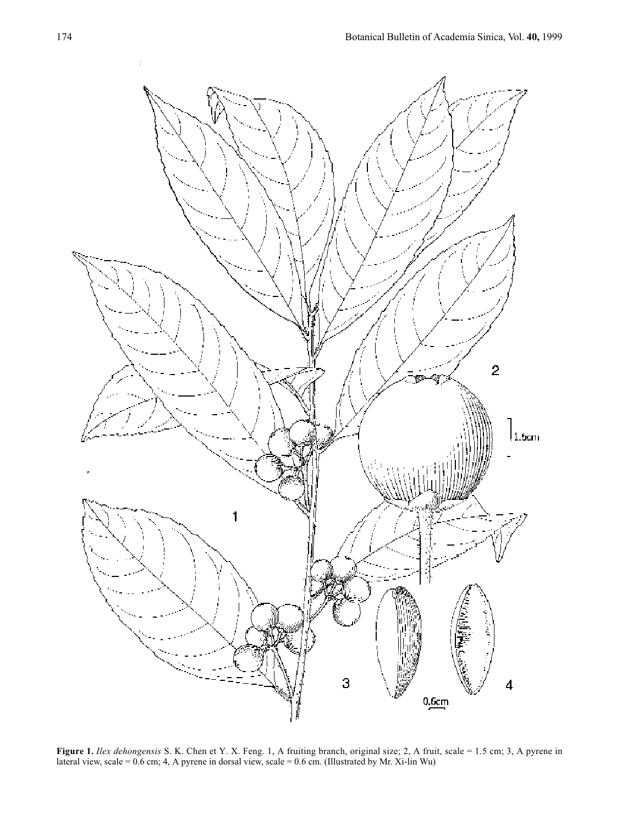

Figure 1. Ilex dehongensis S. K. Chen et Y. X. Feng. 1, A fruiting branch, original size; 2, A fruit, scale = 1.5 cm; 3, A pyrene in lateral view, scale =  $0.6$  cm; 4, A pyrene in dorsal view, scale =  $0.6$  cm. (Illustrated by Mr. Xi-lin Wu)